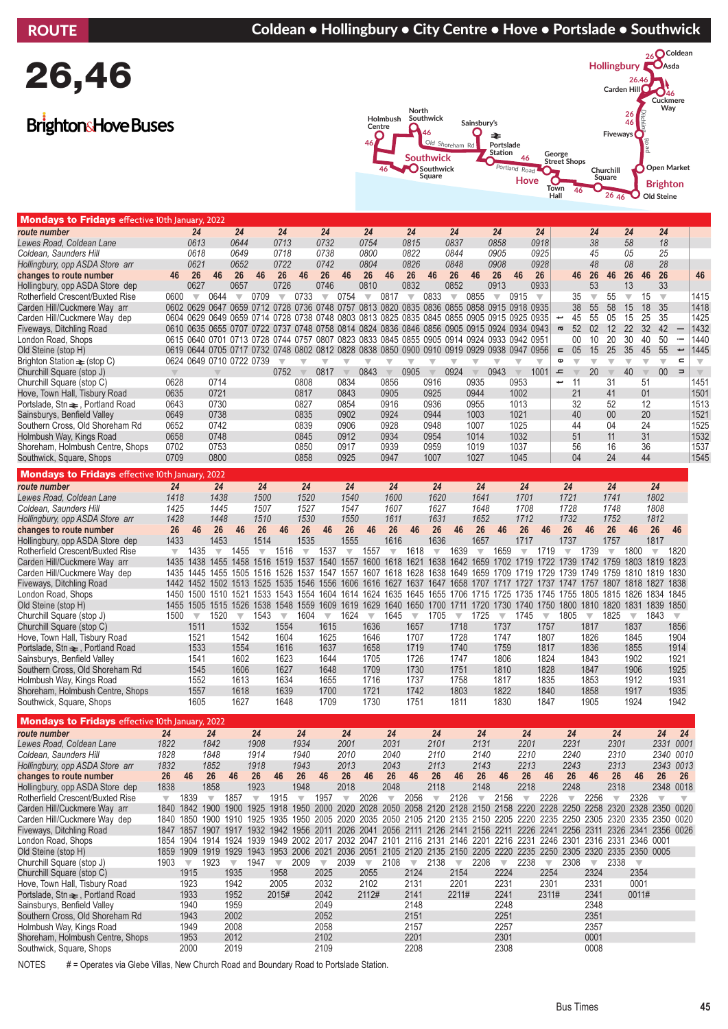#### ROUTE **Coldean • Hollingbury • City Centre • Hove • Portslade • Southwick**

# 26,46

### **Brighton**& Hove Buses



| Mondays to Fridays effective 10th January, 2022                                    |                         |                                                                                                                         |                         |                         |                         |                         |                         |                          |                         |                         |                         |                         |                         |                          |                                                                       |                         |                         |                         |                                             |                         |                          |                               |                                                    |                          |                         |
|------------------------------------------------------------------------------------|-------------------------|-------------------------------------------------------------------------------------------------------------------------|-------------------------|-------------------------|-------------------------|-------------------------|-------------------------|--------------------------|-------------------------|-------------------------|-------------------------|-------------------------|-------------------------|--------------------------|-----------------------------------------------------------------------|-------------------------|-------------------------|-------------------------|---------------------------------------------|-------------------------|--------------------------|-------------------------------|----------------------------------------------------|--------------------------|-------------------------|
| route number                                                                       |                         | 24                                                                                                                      |                         | 24                      |                         | 24                      |                         | 24                       |                         | 24                      |                         | 24                      |                         | 24                       |                                                                       | 24                      |                         | 24                      |                                             | 24                      |                          | 24                            | 24                                                 |                          |                         |
| Lewes Road, Coldean Lane                                                           |                         | 0613                                                                                                                    |                         | 0644                    |                         | 0713                    |                         | 0732                     |                         | 0754                    |                         | 0815                    |                         | 0837                     |                                                                       | 0858                    |                         | 0918                    |                                             | 38                      |                          | 58                            | 18                                                 |                          |                         |
| Coldean, Saunders Hill                                                             |                         | 0618                                                                                                                    |                         | 0649                    |                         | 0718                    |                         | 0738                     |                         | 0800                    |                         | 0822                    |                         | 0844                     |                                                                       | 0905                    |                         | 0925                    |                                             | 45                      |                          | 05                            | 25                                                 |                          |                         |
| Hollingbury, opp ASDA Store arr                                                    |                         | 0621                                                                                                                    |                         | 0652                    |                         | 0722                    |                         | 0742                     |                         | 0804                    |                         | 0826                    |                         | 0848                     |                                                                       | 0908                    |                         | 0928                    |                                             | 48                      |                          | 08                            | 28                                                 |                          |                         |
| changes to route number                                                            | 46                      | 26<br>0627                                                                                                              | 46                      | 26<br>0657              | 46                      | 26<br>0726              | 46                      | 26<br>0746               | 46                      | 26<br>0810              | 46                      | 26<br>0832              | 46                      | 26<br>0852               | 46                                                                    | 26<br>0913              | 46                      | 26<br>0933              | 46                                          | 26<br>53                | 46                       | 26                            | 26<br>46<br>33                                     |                          | 46                      |
| Hollingbury, opp ASDA Store dep                                                    | 0600                    | $\overline{\mathbf{v}}$                                                                                                 | 0644                    | $\overline{\mathbf{v}}$ | 0709                    | $\overline{\mathbf{v}}$ | 0733                    | $\overline{\mathbf{v}}$  | 0754                    | $\overline{\mathbf{v}}$ | 0817                    | $\overline{\mathbf{v}}$ | 0833                    | $\overline{\mathbf{v}}$  | 0855                                                                  | $\overline{\mathbf{v}}$ | 0915                    | $\overline{\mathbf{v}}$ | 35                                          | $\overline{\mathbf{v}}$ | 55                       | 13<br>$\overline{\mathbf{v}}$ | 15<br>$\overline{\mathbf{v}}$                      |                          | 1415                    |
| Rotherfield Crescent/Buxted Rise<br>Carden Hill/Cuckmere Way arr                   |                         | 0602 0629 0647                                                                                                          |                         |                         |                         |                         |                         |                          |                         |                         |                         |                         |                         |                          | 0659 0712 0728 0736 0748 0757 0813 0820 0835 0836 0855 0858 0915 0918 |                         |                         | 0935                    | 38                                          | 55                      | 58                       | 15                            | 35<br>18                                           |                          | 1418                    |
| Carden Hill/Cuckmere Way dep                                                       |                         | 0604 0629 0649 0659 0714 0728 0738 0748 0803 0813 0825 0835 0845 0855 0905 0915 0925 0935                               |                         |                         |                         |                         |                         |                          |                         |                         |                         |                         |                         |                          |                                                                       |                         |                         |                         | 45<br>پ                                     | 55                      | 05                       | 15                            | 35<br>25                                           |                          | 1425                    |
| Fiveways, Ditchling Road                                                           |                         | 0610 0635 0655 0707 0722 0737 0748 0758 0814 0824 0836 0846 0856 0905 0915 0924 0934 0943                               |                         |                         |                         |                         |                         |                          |                         |                         |                         |                         |                         |                          |                                                                       |                         |                         |                         | 52<br>$\varpi$                              | 02                      | 12                       | 22                            | 32<br>42                                           | $\overline{\phantom{0}}$ | 1432                    |
| London Road, Shops                                                                 |                         | 0615 0640 0701 0713 0728 0744 0757 0807 0823 0833 0845 0855 0905 0914 0924 0933 0942 0951                               |                         |                         |                         |                         |                         |                          |                         |                         |                         |                         |                         |                          |                                                                       |                         |                         |                         | $00\,$                                      | 10                      | 20                       | 30                            | 40<br>50                                           | $\overline{\phantom{a}}$ | 1440                    |
| Old Steine (stop H)                                                                |                         | 0619 0644 0705 0717 0732 0748 0802 0812 0828 0838 0850 0900 0910 0919 0929 0938 0947                                    |                         |                         |                         |                         |                         |                          |                         |                         |                         |                         |                         |                          |                                                                       |                         |                         | 0956                    | 05<br>$\equiv$                              | 15                      | 25                       | 35                            | 45<br>55                                           | $\overline{\phantom{0}}$ | 1445                    |
| Brighton Station $\equiv$ (stop C)                                                 |                         | 0624 0649 0710 0722 0739                                                                                                |                         |                         |                         | $\overline{\mathbf{v}}$ | $\overline{\mathbb{V}}$ | $\overline{\mathbb{V}}$  | $\overline{\mathbf{v}}$ | $\overline{\mathbf{v}}$ | $\overline{\mathbb{V}}$ | $\overline{\mathbb{V}}$ | $\overline{\mathbf{v}}$ | $\overline{\mathbf{v}}$  | $\overline{\mathbb{V}}$                                               | $\overline{\mathbb{V}}$ | $\overline{\mathbb{V}}$ | $\overline{\mathbf{v}}$ | $\mathbf \omega$<br>$\overline{\mathbf{v}}$ | $\overline{\mathbf{v}}$ | $\overline{\mathbf{v}}$  | $\overline{\mathbf{v}}$       | $\overline{\mathbf{v}}$<br>$\overline{\mathbf{v}}$ | $\blacksquare$           | $\overline{\mathbb{V}}$ |
| Churchill Square (stop J)                                                          |                         |                                                                                                                         |                         |                         |                         | 0752                    | $\overline{\mathbb{V}}$ | 0817                     | $\mathbf{\nabla}$       | 0843                    | $\overline{\mathbb{V}}$ | 0905                    | $\overline{\mathbb{V}}$ | 0924                     | $\mathbf{\nabla}$                                                     | 0943                    | $\overline{\mathbb{V}}$ | 1001                    | $\mathbf{r}$<br>$\overline{\mathbb{V}}$     | 20                      | $\overline{\mathbb{V}}$  | 40                            | 00 <sup>°</sup><br>$\overline{\mathbb{V}}$         | $\Rightarrow$            | $\overline{\mathbb{V}}$ |
| Churchill Square (stop C)                                                          | 0628                    |                                                                                                                         | 0714                    |                         |                         |                         | 0808                    |                          | 0834                    |                         | 0856                    |                         | 0916                    |                          | 0935                                                                  |                         | 0953                    |                         | پ<br>11                                     |                         | 31                       |                               | 51                                                 |                          | 1451                    |
| Hove, Town Hall, Tisbury Road                                                      | 0635                    |                                                                                                                         | 0721                    |                         |                         |                         | 0817                    |                          | 0843                    |                         | 0905                    |                         | 0925                    |                          | 0944                                                                  |                         | 1002                    |                         | 21                                          |                         | 41                       |                               | 01                                                 |                          | 1501                    |
| Portslade, Stn ₹, Portland Road                                                    | 0643                    |                                                                                                                         | 0730                    |                         |                         |                         | 0827                    |                          | 0854                    |                         | 0916                    |                         | 0936                    |                          | 0955                                                                  |                         | 1013                    |                         | 32                                          |                         | 52                       |                               | 12                                                 |                          | 1513                    |
| Sainsburys, Benfield Valley                                                        | 0649                    |                                                                                                                         | 0738                    |                         |                         |                         | 0835                    |                          | 0902                    |                         | 0924                    |                         | 0944                    |                          | 1003                                                                  |                         | 1021                    |                         | 40                                          |                         | 00                       |                               | 20                                                 |                          | 1521                    |
| Southern Cross, Old Shoreham Rd                                                    | 0652                    |                                                                                                                         | 0742                    |                         |                         |                         | 0839                    |                          | 0906                    |                         | 0928                    |                         | 0948                    |                          | 1007                                                                  |                         | 1025                    |                         | 44                                          |                         | 04                       |                               | 24                                                 |                          | 1525                    |
| Holmbush Way, Kings Road                                                           | 0658                    |                                                                                                                         | 0748                    |                         |                         |                         | 0845                    |                          | 0912                    |                         | 0934                    |                         | 0954                    |                          | 1014                                                                  |                         | 1032                    |                         | 51                                          |                         | 11                       |                               | 31                                                 |                          | 1532                    |
| Shoreham, Holmbush Centre, Shops                                                   | 0702                    |                                                                                                                         | 0753                    |                         |                         |                         | 0850                    |                          | 0917                    |                         | 0939                    |                         | 0959                    |                          | 1019                                                                  |                         | 1037                    |                         | 56                                          |                         | 16                       |                               | 36                                                 |                          | 1537                    |
| Southwick, Square, Shops                                                           | 0709                    |                                                                                                                         | 0800                    |                         |                         |                         | 0858                    |                          | 0925                    |                         | 0947                    |                         | 1007                    |                          | 1027                                                                  |                         | 1045                    |                         | 04                                          |                         | 24                       |                               | 44                                                 |                          | 1545                    |
| <b>Mondays to Fridays effective 10th January</b>                                   |                         |                                                                                                                         | 2022                    |                         |                         |                         |                         |                          |                         |                         |                         |                         |                         |                          |                                                                       |                         |                         |                         |                                             |                         |                          |                               |                                                    |                          |                         |
| route number                                                                       | 24                      |                                                                                                                         | 24                      |                         | 24                      |                         | 24                      |                          | 24                      |                         | 24                      |                         | 24                      |                          | 24                                                                    |                         | 24                      |                         | 24                                          |                         | 24                       |                               | 24                                                 |                          |                         |
| Lewes Road, Coldean Lane                                                           | 1418                    |                                                                                                                         | 1438                    |                         | 1500                    |                         | 1520                    |                          | 1540                    |                         | 1600                    |                         | 1620                    |                          | 1641                                                                  |                         | 1701                    |                         | 1721                                        |                         | 1741                     |                               | 1802                                               |                          |                         |
| Coldean, Saunders Hill                                                             | 1425                    |                                                                                                                         | 1445                    |                         | 1507                    |                         | 1527                    |                          | 1547                    |                         | 1607                    |                         | 1627                    |                          | 1648                                                                  |                         | 1708                    |                         | 1728                                        |                         | 1748                     |                               | 1808                                               |                          |                         |
| Hollingbury, opp ASDA Store arr                                                    | 1428                    |                                                                                                                         | 1448                    |                         | 1510                    |                         | 1530                    |                          | 1550                    |                         | 1611                    |                         | 1631                    |                          | 1652                                                                  |                         | 1712                    |                         | 1732                                        |                         | 1752                     |                               | 1812                                               |                          |                         |
| changes to route number                                                            | 26                      | 46                                                                                                                      | 26                      | 46                      | 26                      | 46                      | 26                      | 46                       | 26                      | 46                      | 26                      | 46                      | 26                      | 46                       | 26                                                                    | 46                      | 26                      | 46                      | 26                                          | 46                      | 26                       | 46                            | 26                                                 | 46                       |                         |
| Hollingbury, opp ASDA Store dep                                                    | 1433                    |                                                                                                                         | 1453                    |                         | 1514                    |                         | 1535                    |                          | 1555                    |                         | 1616                    |                         | 1636                    |                          | 1657                                                                  |                         | 1717                    |                         | 1737                                        |                         | 1757                     |                               | 1817                                               |                          |                         |
| Rotherfield Crescent/Buxted Rise                                                   | $\overline{\mathbf{v}}$ | 1435                                                                                                                    | $\overline{\mathbf{v}}$ | 1455                    | $\overline{\mathbf{v}}$ | 1516                    | $\overline{\mathbf{v}}$ | 1537                     | $\overline{\mathbb{V}}$ | 1557                    | $\overline{\mathbf{v}}$ | 1618                    | $\overline{\mathbf{v}}$ | 1639                     | $\overline{\mathbb{V}}$                                               | 1659                    | $\overline{\mathbf{v}}$ | 1719                    | $\overline{\mathbf{v}}$                     | 1739                    | $\overline{\mathbf{v}}$  | 1800                          | $\overline{\mathbf{v}}$                            | 1820                     |                         |
| Carden Hill/Cuckmere Way arr                                                       |                         | 1435 1438                                                                                                               |                         | 1455 1458               | 1516                    | 1519                    | 1537                    |                          | 1540 1557               |                         | 1600 1618               | 1621                    |                         |                          | 1638 1642 1659 1702 1719 1722                                         |                         |                         |                         | 1739                                        | 1742                    | 1759                     |                               | 1803 1819                                          | 1823                     |                         |
| Carden Hill/Cuckmere Way dep                                                       | 1435                    | 1442 1452 1502 1513 1525 1535 1546 1556 1606 1616 1627 1637 1647 1658 1707 1717 1727 1737 1747 1757 1807 1818 1827 1838 |                         | 1445 1455 1505          |                         | 1516 1526               | 1537                    |                          | 1547 1557               |                         | 1607 1618               |                         |                         |                          | 1628 1638 1649 1659 1709 1719 1729                                    |                         |                         |                         | 1739                                        | 1749 1759               |                          |                               | 1810 1819                                          | 1830                     |                         |
| Fiveways, Ditchling Road<br>London Road, Shops                                     |                         | 1450 1500 1510 1521 1533 1543 1554 1604 1614 1624 1635 1645 1655 1706 1715 1725 1735 1745 1755 1805 1815 1826 1834      |                         |                         |                         |                         |                         |                          |                         |                         |                         |                         |                         |                          |                                                                       |                         |                         |                         |                                             |                         |                          |                               |                                                    | 1845                     |                         |
| Old Steine (stop H)                                                                |                         | 1455 1505 1515 1526 1538 1548 1559 1609 1619 1629 1640 1650 1700 1711 1720 1730 1740 1750 1800 1810 1820 1831 1839      |                         |                         |                         |                         |                         |                          |                         |                         |                         |                         |                         |                          |                                                                       |                         |                         |                         |                                             |                         |                          |                               |                                                    | 1850                     |                         |
| Churchill Square (stop J)                                                          | 1500                    | $\overline{\mathbf{v}}$                                                                                                 | 1520                    | $\overline{\mathbf{v}}$ | 1543                    | $\overline{\mathbf{v}}$ | 1604                    | $\overline{\mathbf{v}}$  | 1624                    | $\overline{\mathbf{v}}$ | 1645                    | $\overline{\mathbf{v}}$ | 1705                    | $\overline{\mathbf{v}}$  | 1725                                                                  | $\overline{\mathbf{v}}$ | 1745                    | $\overline{\nabla}$     | 1805                                        | $\overline{\mathbf{v}}$ | 1825                     | $\overline{\mathbf{v}}$       | 1843                                               | $\overline{\mathbf{v}}$  |                         |
| Churchill Square (stop C)                                                          |                         | 1511                                                                                                                    |                         | 1532                    |                         | 1554                    |                         | 1615                     |                         | 1636                    |                         | 1657                    |                         | 1718                     |                                                                       | 1737                    |                         | 1757                    |                                             | 1817                    |                          | 1837                          |                                                    | 1856                     |                         |
| Hove, Town Hall, Tisbury Road                                                      |                         | 1521                                                                                                                    |                         | 1542                    |                         | 1604                    |                         | 1625                     |                         | 1646                    |                         | 1707                    |                         | 1728                     |                                                                       | 1747                    |                         | 1807                    |                                             | 1826                    |                          | 1845                          |                                                    | 1904                     |                         |
| Portslade, Stn $\rightleftharpoons$ , Portland Road                                |                         | 1533                                                                                                                    |                         | 1554                    |                         | 1616                    |                         | 1637                     |                         | 1658                    |                         | 1719                    |                         | 1740                     |                                                                       | 1759                    |                         | 1817                    |                                             | 1836                    |                          | 1855                          |                                                    | 1914                     |                         |
| Sainsburys, Benfield Valley                                                        |                         | 1541                                                                                                                    |                         | 1602                    |                         | 1623                    |                         | 1644                     |                         | 1705                    |                         | 1726                    |                         | 1747                     |                                                                       | 1806                    |                         | 1824                    |                                             | 1843                    |                          | 1902                          |                                                    | 1921                     |                         |
| Southern Cross, Old Shoreham Rd                                                    |                         | 1545                                                                                                                    |                         | 1606                    |                         | 1627                    |                         | 1648                     |                         | 1709                    |                         | 1730                    |                         | 1751                     |                                                                       | 1810                    |                         | 1828                    |                                             | 1847                    |                          | 1906                          |                                                    | 1925                     |                         |
| Holmbush Way, Kings Road                                                           |                         | 1552                                                                                                                    |                         | 1613                    |                         | 1634                    |                         | 1655                     |                         | 1716                    |                         | 1737                    |                         | 1758                     |                                                                       | 1817                    |                         | 1835                    |                                             | 1853                    |                          | 1912                          |                                                    | 1931                     |                         |
| Shoreham, Holmbush Centre, Shops                                                   |                         | 1557                                                                                                                    |                         | 1618                    |                         | 1639                    |                         | 1700                     |                         | 1721                    |                         | 1742                    |                         | 1803                     |                                                                       | 1822                    |                         | 1840                    |                                             | 1858                    |                          | 1917                          |                                                    | 1935                     |                         |
| Southwick, Square, Shops                                                           |                         | 1605                                                                                                                    |                         | 1627                    |                         | 1648                    |                         | 1709                     |                         | 1730                    |                         | 1751                    |                         | 1811                     |                                                                       | 1830                    |                         | 1847                    |                                             | 1905                    |                          | 1924                          |                                                    | 1942                     |                         |
| <b>Mondays to Fridays effective 10th January, 2022</b>                             |                         |                                                                                                                         |                         |                         |                         |                         |                         |                          |                         |                         |                         |                         |                         |                          |                                                                       |                         |                         |                         |                                             |                         |                          |                               |                                                    |                          |                         |
| route number                                                                       | 24                      |                                                                                                                         | 24                      |                         | 24                      |                         | 24                      |                          | 24                      |                         | 24                      |                         | 24                      |                          | 24                                                                    |                         | 24                      |                         | 24                                          |                         | 24                       |                               | 24                                                 | 24                       |                         |
| Lewes Road, Coldean Lane                                                           | 1822                    |                                                                                                                         | 1842                    |                         | 1908                    |                         | 1934                    |                          | 2001                    |                         | 2031                    |                         | 2101                    |                          | 2131                                                                  |                         | 2201                    |                         | 2231                                        |                         | 2301                     |                               |                                                    | 2331 0001                |                         |
| Coldean, Saunders Hill                                                             | 1828                    |                                                                                                                         | 1848                    |                         | 1914                    |                         | 1940                    |                          | 2010                    |                         | 2040                    |                         | 2110                    |                          | 2140                                                                  |                         | 2210                    |                         | 2240                                        |                         | 2310                     |                               |                                                    | 2340 0010                |                         |
| Hollingbury, opp ASDA Store arr                                                    | 1832                    |                                                                                                                         | 1852                    |                         | 1918                    |                         | 1943                    |                          | 2013                    |                         | 2043                    |                         | 2113                    |                          | 2143                                                                  |                         | 2213                    |                         | 2243                                        |                         | 2313                     |                               | 2343                                               | 0013                     |                         |
| changes to route number                                                            | 26                      | 46                                                                                                                      | 26                      | 46                      | 26                      | 46                      | 26                      | 46                       | 26                      | 46                      | 26                      | 46                      | 26                      | 46                       | 26                                                                    | 46                      | 26                      | 46                      | 26                                          | 46                      | 26                       | 46                            | 26                                                 | 26                       |                         |
| Hollingbury, opp ASDA Store dep                                                    | 1838                    |                                                                                                                         | 1858                    |                         | 1923                    |                         | 1948                    |                          | 2018                    |                         | 2048                    |                         | 2118                    |                          | 2148                                                                  |                         | 2218                    |                         | 2248                                        |                         | 2318                     |                               |                                                    | 2348 0018                |                         |
| Rotherfield Crescent/Buxted Rise                                                   | $\overline{\mathbf{v}}$ | 1839                                                                                                                    | $\overline{\mathbf{v}}$ | 1857                    | $\overline{\mathbf{v}}$ | 1915                    | $\overline{\mathbf{v}}$ | 1957                     | $\overline{\mathbf{v}}$ | 2026                    | $\overline{\mathbf{v}}$ | 2056                    | $\overline{\mathbf{v}}$ | 2126                     | $\overline{\mathbf{v}}$                                               | 2156                    | $\overline{\mathbf{v}}$ | 2226                    | $\overline{\mathbf{v}}$                     | 2256                    | $\overline{\mathbf{v}}$  | 2326                          | $\overline{\mathbf{v}}$                            | $\overline{\mathbb{V}}$  |                         |
| Carden Hill/Cuckmere Way arr                                                       | 1840                    | 1842 1900 1900 1925 1918 1950 2000 2020 2028 2050 2058 2120 2128 2150 2158 2220 2228 2250                               |                         |                         |                         |                         |                         |                          |                         |                         |                         |                         |                         |                          |                                                                       |                         |                         |                         |                                             |                         | 2258 2320 2328 2350 0020 |                               |                                                    |                          |                         |
| Carden Hill/Cuckmere Way dep                                                       | 1840                    | 1850 1900 1910 1925 1935 1950 2005 2020 2035 2050 2105 2120 2135 2150 2205 2220 2235 2250 2305 2320 2335 2350 0020      |                         |                         |                         |                         |                         |                          |                         |                         |                         |                         |                         |                          |                                                                       |                         |                         |                         |                                             |                         |                          |                               |                                                    |                          |                         |
| Fiveways, Ditchling Road                                                           |                         | 1847 1857 1907 1917 1932 1942 1956 2011 2026 2041 2056 2111 2126 2141 2156 2211 2226 2241 2256 2311 2326 2341 2356 0026 |                         |                         |                         |                         |                         |                          |                         |                         |                         |                         |                         |                          |                                                                       |                         |                         |                         |                                             |                         |                          |                               |                                                    |                          |                         |
| London Road, Shops                                                                 |                         | 1854 1904 1914 1924 1939 1949 2002 2017 2032 2047 2101 2116 2131 2146 2201 2216 2231 2246 2301 2316 2331 2346 0001      |                         |                         |                         |                         |                         |                          |                         |                         |                         |                         |                         |                          |                                                                       |                         |                         |                         |                                             |                         |                          |                               |                                                    |                          |                         |
| Old Steine (stop H)                                                                |                         | 1859 1909 1919 1929 1943 1953 2006 2021 2036 2051 2105 2120 2135 2150 2205 2220 2235 2250 2305 2320 2335 2350 0005      |                         |                         |                         |                         |                         |                          |                         |                         |                         |                         |                         |                          |                                                                       |                         |                         |                         |                                             |                         |                          |                               |                                                    |                          |                         |
| Churchill Square (stop J)                                                          | 1903                    | $\overline{\mathbf{v}}$                                                                                                 | 1923                    | $\overline{\mathbf{v}}$ | 1947                    | $\overline{\nabla}$     | 2009                    | $\overline{\phantom{a}}$ | 2039                    | $\overline{\mathbf{v}}$ | 2108                    |                         | $\sqrt{2138}$           | $\overline{\phantom{a}}$ | 2208                                                                  | $\overline{\mathbf{v}}$ | 2238                    | $\overline{\mathbf{v}}$ | 2308                                        | $\overline{\mathbf{v}}$ | 2338                     | $\overline{\mathbf{v}}$       |                                                    |                          |                         |
| Churchill Square (stop C)                                                          |                         | 1915                                                                                                                    |                         | 1935                    |                         | 1958                    |                         | 2025                     |                         | 2055                    |                         | 2124                    |                         | 2154                     |                                                                       | 2224                    |                         | 2254                    |                                             | 2324                    |                          | 2354                          |                                                    |                          |                         |
| Hove, Town Hall, Tisbury Road                                                      |                         | 1923                                                                                                                    |                         | 1942                    |                         | 2005                    |                         | 2032                     |                         | 2102                    |                         | 2131                    |                         | 2201                     |                                                                       | 2231                    |                         | 2301                    |                                             | 2331                    |                          | 0001                          |                                                    |                          |                         |
| Portslade, Stn $\rightleftharpoons$ , Portland Road<br>Sainsburys, Benfield Valley |                         | 1933<br>1940                                                                                                            |                         | 1952<br>1959            |                         | 2015#                   |                         | 2042<br>2049             |                         | 2112#                   |                         | 2141<br>2148            |                         | 2211#                    |                                                                       | 2241<br>2248            |                         | 2311#                   |                                             | 2341<br>2348            |                          | 0011#                         |                                                    |                          |                         |
| Southern Cross, Old Shoreham Rd                                                    |                         | 1943                                                                                                                    |                         | 2002                    |                         |                         |                         | 2052                     |                         |                         |                         | 2151                    |                         |                          |                                                                       | 2251                    |                         |                         |                                             | 2351                    |                          |                               |                                                    |                          |                         |
| Holmbush Way, Kings Road                                                           |                         | 1949                                                                                                                    |                         | 2008                    |                         |                         |                         | 2058                     |                         |                         |                         | 2157                    |                         |                          |                                                                       | 2257                    |                         |                         |                                             | 2357                    |                          |                               |                                                    |                          |                         |
| Shoreham, Holmbush Centre, Shops                                                   |                         | 1953                                                                                                                    |                         | 2012                    |                         |                         |                         | 2102                     |                         |                         |                         | 2201                    |                         |                          |                                                                       | 2301                    |                         |                         |                                             | 0001                    |                          |                               |                                                    |                          |                         |
| Southwick, Square, Shops                                                           |                         | 2000                                                                                                                    |                         | 2019                    |                         |                         |                         | 2109                     |                         |                         |                         | 2208                    |                         |                          |                                                                       | 2308                    |                         |                         |                                             | 0008                    |                          |                               |                                                    |                          |                         |
| <b>NOTEO</b><br>$\mathbb{R}$ Clabs Villes                                          |                         |                                                                                                                         |                         | Now Church Dood and De  |                         |                         |                         |                          | d to Dontologic Ciptie  |                         |                         |                         |                         |                          |                                                                       |                         |                         |                         |                                             |                         |                          |                               |                                                    |                          |                         |

NOTES # = Operates via Glebe Villas, New Church Road and Boundary Road to Portslade Station.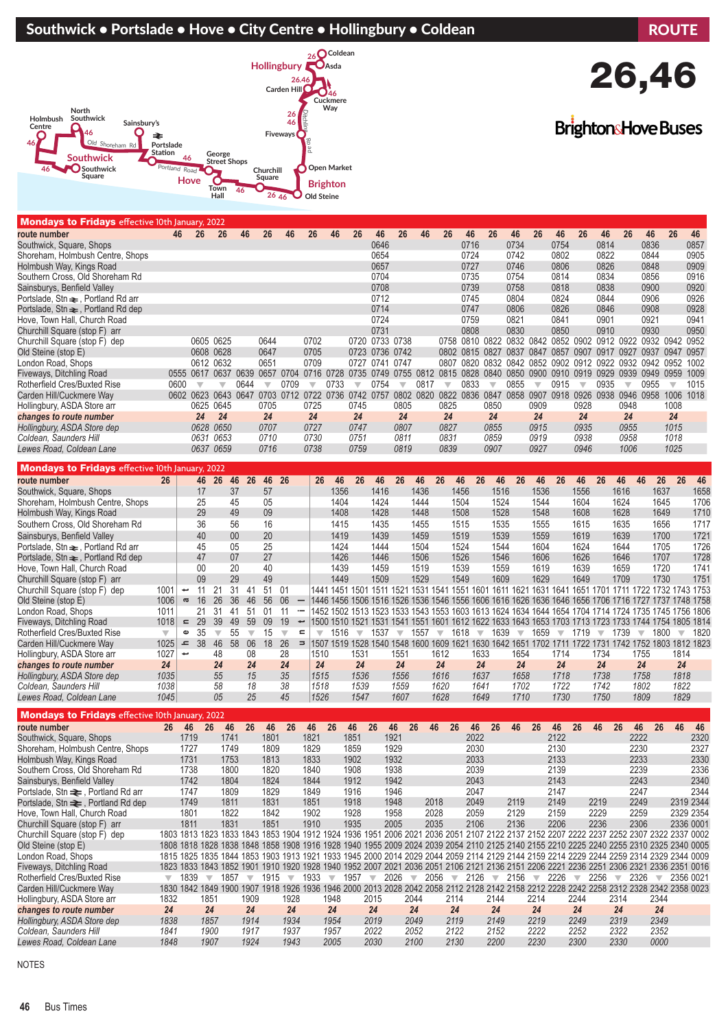#### Southwick • Portslade • Hove • City Centre • Hollingbury • Coldean ROUTE



#### Mondays to Fridays effective 10th January, 2022

| <b>NORDAYS to Fridays</b> effective loth January, 2022 |                         |                          |                               |                         |                         |                         |                         |                          |                                                                                                                         |                         |      |                         |      |                         |          |                         |      |                         |      |                         |      |                         |                                                                                            |                         |               |
|--------------------------------------------------------|-------------------------|--------------------------|-------------------------------|-------------------------|-------------------------|-------------------------|-------------------------|--------------------------|-------------------------------------------------------------------------------------------------------------------------|-------------------------|------|-------------------------|------|-------------------------|----------|-------------------------|------|-------------------------|------|-------------------------|------|-------------------------|--------------------------------------------------------------------------------------------|-------------------------|---------------|
| route number                                           | 46                      | 26                       |                               | 26                      | 46                      | 26                      | 46                      | 26                       | 46                                                                                                                      | 26                      | 46   | 26                      | 46   | 26                      | 46       | 26                      | 46   | 26                      | 46   | 26                      | 46   | 26                      | 46                                                                                         | 26                      | 46            |
| Southwick, Square, Shops                               |                         |                          |                               |                         |                         |                         |                         |                          |                                                                                                                         |                         | 0646 |                         |      |                         | 0716     |                         | 0734 |                         | 0754 |                         | 0814 |                         | 0836                                                                                       |                         | 0857          |
| Shoreham, Holmbush Centre, Shops                       |                         |                          |                               |                         |                         |                         |                         |                          |                                                                                                                         |                         | 0654 |                         |      |                         | 0724     |                         | 0742 |                         | 0802 |                         | 0822 |                         | 0844                                                                                       |                         | 0905          |
| Holmbush Way, Kings Road                               |                         |                          |                               |                         |                         |                         |                         |                          |                                                                                                                         |                         | 0657 |                         |      |                         | 0727     |                         | 0746 |                         | 0806 |                         | 0826 |                         | 0848                                                                                       |                         | 0909          |
| Southern Cross, Old Shoreham Rd                        |                         |                          |                               |                         |                         |                         |                         |                          |                                                                                                                         |                         | 0704 |                         |      |                         | 0735     |                         | 0754 |                         | 0814 |                         | 0834 |                         | 0856                                                                                       |                         | 0916          |
| Sainsburys, Benfield Valley                            |                         |                          |                               |                         |                         |                         |                         |                          |                                                                                                                         |                         | 0708 |                         |      |                         | 0739     |                         | 0758 |                         | 0818 |                         | 0838 |                         | 0900                                                                                       |                         | 0920          |
| Portslade, Stn $\rightleftharpoons$ , Portland Rd arr  |                         |                          |                               |                         |                         |                         |                         |                          |                                                                                                                         |                         | 0712 |                         |      |                         | 0745     |                         | 0804 |                         | 0824 |                         | 0844 |                         | 0906                                                                                       |                         | 0926          |
| Portslade, Stn $\equiv$ , Portland Rd dep              |                         |                          |                               |                         |                         |                         |                         |                          |                                                                                                                         |                         | 0714 |                         |      |                         | 0747     |                         | 0806 |                         | 0826 |                         | 0846 |                         | 0908                                                                                       |                         | 0928          |
| Hove, Town Hall, Church Road                           |                         |                          |                               |                         |                         |                         |                         |                          |                                                                                                                         |                         | 0724 |                         |      |                         | 0759     |                         | 0821 |                         | 0841 |                         | 0901 |                         | 0921                                                                                       |                         | 0941          |
| Churchill Square (stop F) arr                          |                         |                          |                               |                         |                         |                         |                         |                          |                                                                                                                         |                         | 0731 |                         |      |                         | 0808     |                         | 0830 |                         | 0850 |                         | 0910 |                         | 0930                                                                                       |                         | 0950          |
| Churchill Square (stop F) dep                          |                         |                          | 0605 0625                     |                         |                         | 0644                    |                         | 0702                     |                                                                                                                         | 0720 0733 0738          |      |                         |      |                         |          |                         |      |                         |      |                         |      |                         | 0758 0810 0822 0832 0842 0852 0902 0912 0922 0932 0942 0952                                |                         |               |
| Old Steine (stop E)                                    |                         |                          | 0608 0628                     |                         |                         | 0647                    |                         | 0705                     |                                                                                                                         | 0723 0736 0742          |      |                         |      |                         |          |                         |      |                         |      |                         |      |                         | 0802 0815 0827 0837 0847 0857 0907 0917 0927 0937 0947                                     |                         | 0957          |
| London Road, Shops                                     |                         |                          | 0612 0632                     |                         |                         | 0651                    |                         | 0709                     |                                                                                                                         | 0727 0741 0747          |      |                         |      |                         |          |                         |      |                         |      |                         |      |                         | 0807 0820 0832 0842 0852 0902 0912 0922 0932 0942 0952 1002                                |                         |               |
| Fiveways, Ditchling Road                               |                         |                          |                               |                         |                         |                         |                         |                          | 0555 0617 0637 0639 0657 0704 0716 0728 0735 0749 0755 0812 0815 0828 0840 0850 0900 0910 0919 0929 0939 0949 0959 1009 |                         |      |                         |      |                         |          |                         |      |                         |      |                         |      |                         |                                                                                            |                         |               |
| Rotherfield Cres/Buxted Rise                           | 0600                    | $\overline{\mathbf{v}}$  |                               | $\overline{\mathbf{v}}$ | 0644                    | $\overline{\mathbf{v}}$ | 0709                    | $\overline{\mathbf{v}}$  | 0733                                                                                                                    | $\overline{\mathbf{v}}$ | 0754 | $\overline{\mathbf{v}}$ | 0817 | $\overline{\mathbf{v}}$ | 0833     | $\overline{\mathbf{v}}$ | 0855 | $\overline{\mathbf{v}}$ | 0915 | $\overline{\mathbf{v}}$ | 0935 | $\overline{\mathbf{v}}$ | 0955                                                                                       | $\overline{\mathbf{v}}$ | 1015          |
| Carden Hill/Cuckmere Way                               |                         |                          |                               |                         |                         |                         |                         |                          | 0602 0623 0643 0647 0703 0712 0722 0736                                                                                 | 0742 0757               |      | 0802 0820               |      |                         |          |                         |      |                         |      |                         |      |                         | 0822 0836 0847 0858 0907 0918 0926 0938 0946 0958 1006 1018                                |                         |               |
| Hollingbury, ASDA Store arr                            |                         |                          | 0625 0645                     |                         |                         | 0705                    |                         | 0725                     |                                                                                                                         | 0745                    |      | 0805                    |      | 0825                    |          | 0850                    |      | 0909                    |      | 0928                    |      | 0948                    |                                                                                            | 1008                    |               |
| changes to route number                                |                         | 24                       |                               | 24                      |                         | 24                      |                         | 24                       |                                                                                                                         | 24                      |      | 24                      |      | 24                      |          | 24                      |      | 24                      |      | 24                      |      | 24                      |                                                                                            | 24                      |               |
| Hollingbury, ASDA Store dep                            |                         |                          | 0628 0650                     |                         |                         | 0707                    |                         | 0727                     |                                                                                                                         | 0747                    |      | 0807                    |      | 0827                    |          | 0855                    |      | 0915                    |      | 0935                    |      | 0955                    |                                                                                            | 1015                    |               |
| Coldean, Saunders Hill                                 |                         |                          | 0631 0653                     |                         |                         | 0710                    |                         | 0730                     |                                                                                                                         | 0751                    |      | 0811                    |      | 0831                    |          | 0859                    |      | 0919                    |      | 0938                    |      | 0958                    |                                                                                            | 1018                    |               |
| Lewes Road, Coldean Lane                               |                         |                          | 0637 0659                     |                         |                         | 0716                    |                         | 0738                     |                                                                                                                         | 0759                    |      | 0819                    |      | 0839                    |          | 0907                    |      | 0927                    |      | 0946                    |      | 1006                    |                                                                                            | 1025                    |               |
|                                                        |                         |                          |                               |                         |                         |                         |                         |                          |                                                                                                                         |                         |      |                         |      |                         |          |                         |      |                         |      |                         |      |                         |                                                                                            |                         |               |
|                                                        |                         |                          |                               |                         |                         |                         |                         |                          |                                                                                                                         |                         |      |                         |      |                         |          |                         |      |                         |      |                         |      |                         |                                                                                            |                         |               |
| <b>Mondays to Fridays</b> effective 10th January, 2022 |                         |                          |                               |                         |                         |                         |                         |                          |                                                                                                                         |                         |      |                         |      |                         |          |                         |      |                         |      |                         |      |                         |                                                                                            |                         |               |
| route number                                           | 26                      |                          | 46 26                         | 46                      | 26                      | 46                      | 26                      |                          | 26<br>46                                                                                                                | 26                      | 46   | 26                      | 46   | 26                      | 26<br>46 | 46                      | 26   | 46                      | 26   | 46                      | 26   | 46                      | 46<br>26                                                                                   | 26                      | 46            |
| Southwick, Square, Shops                               |                         |                          | 17                            | 37                      |                         | 57                      |                         |                          | 1356                                                                                                                    |                         | 1416 |                         | 1436 |                         | 1456     | 1516                    |      | 1536                    |      | 1556                    |      | 1616                    | 1637                                                                                       |                         | 1658          |
| Shoreham, Holmbush Centre, Shops                       |                         |                          | 25                            | 45                      |                         | 05                      |                         |                          | 1404                                                                                                                    |                         | 1424 |                         | 1444 |                         | 1504     | 1524                    |      | 1544                    |      | 1604                    |      | 1624                    | 1645                                                                                       |                         | 1706          |
| Holmbush Way, Kings Road                               |                         |                          | 29                            | 49                      |                         | 09                      |                         |                          | 1408                                                                                                                    |                         | 1428 |                         | 1448 |                         | 1508     | 1528                    |      | 1548                    |      | 1608                    |      | 1628                    | 1649                                                                                       |                         | 1710          |
| Southern Cross, Old Shoreham Rd                        |                         |                          | 36                            | 56                      |                         | 16                      |                         |                          | 1415                                                                                                                    |                         | 1435 |                         | 1455 |                         | 1515     | 1535                    |      | 1555                    |      | 1615                    |      | 1635                    | 1656                                                                                       |                         | 1717          |
| Sainsburys, Benfield Valley                            |                         |                          | 40                            | 00                      |                         | 20                      |                         |                          | 1419                                                                                                                    |                         | 1439 |                         | 1459 |                         | 1519     | 1539                    |      | 1559                    |      | 1619                    |      | 1639                    | 1700                                                                                       |                         | 1721          |
| Portslade, Stn $\rightleftharpoons$ , Portland Rd arr  |                         |                          | 45                            | 05                      |                         | 25                      |                         |                          | 1424                                                                                                                    |                         | 1444 |                         | 1504 |                         | 1524     | 1544                    |      | 1604                    |      | 1624                    |      | 1644                    | 1705                                                                                       |                         | 1726          |
| Portslade, Stn $\equiv$ , Portland Rd dep              |                         |                          | 47                            | 07                      |                         | 27                      |                         |                          | 1426                                                                                                                    |                         | 1446 |                         | 1506 |                         | 1526     | 1546                    |      | 1606                    |      | 1626                    |      | 1646                    | 1707                                                                                       |                         | 1728          |
| Hove, Town Hall, Church Road                           |                         |                          | 00                            | 20                      |                         | 40                      |                         |                          | 1439                                                                                                                    |                         | 1459 |                         | 1519 |                         | 1539     | 1559                    |      | 1619                    |      | 1639                    |      | 1659                    | 1720                                                                                       |                         | 1741          |
| Churchill Square (stop F) arr                          |                         |                          | 09                            | 29                      |                         | 49                      |                         |                          | 1449                                                                                                                    |                         | 1509 |                         | 1529 |                         | 1549     | 1609                    |      | 1629                    |      | 1649                    |      | 1709                    | 1730                                                                                       |                         | 1751          |
| Churchill Square (stop F) dep                          | 1001                    | پ                        | 21<br>11                      | 31                      | 41                      | 51                      | 01                      |                          | 1441 1451 1501 1511 1521 1531 1541 1551 1601 1611 1621 1631 1641 1651 1701 1711 1722 1732 1743 1753                     |                         |      |                         |      |                         |          |                         |      |                         |      |                         |      |                         |                                                                                            |                         |               |
| Old Steine (stop E)                                    | 1006                    | g                        | 16<br>26                      | 36                      | 46                      | 56                      | 06                      | $\qquad \qquad -$        | 1446 1456 1506 1516 1526 1536 1546 1556 1606 1616 1626 1636 1646 1656 1706 1716 1727 1737 1748 1758                     |                         |      |                         |      |                         |          |                         |      |                         |      |                         |      |                         |                                                                                            |                         |               |
| London Road, Shops                                     | 1011                    |                          | 21<br>31                      | 41                      | 51                      | 01                      | 11                      | $\overline{\phantom{a}}$ | 1452 1502 1513 1523 1533 1543 1553 1603 1613 1624 1634 1644 1654 1704 1714 1724 1735 1745 1756 1806                     |                         |      |                         |      |                         |          |                         |      |                         |      |                         |      |                         |                                                                                            |                         |               |
| Fiveways, Ditchling Road                               | 1018                    | 29<br>$\equiv$           | 39                            | 49                      | 59                      | 09                      | 19                      | $\overline{\phantom{a}}$ | 1500 1510 1521 1531 1541 1551 1601 1612 1622 1633 1643 1653 1703 1713 1723 1733 1744 1754 1805 1814                     |                         |      |                         |      |                         |          |                         |      |                         |      |                         |      |                         |                                                                                            |                         |               |
| Rotherfield Cres/Buxted Rise                           | $\overline{\mathbf{v}}$ | Ф                        | 35<br>$\overline{\mathbf{v}}$ | 55                      | $\overline{\mathbf{v}}$ | 15                      | $\overline{\mathbf{v}}$ | $\blacksquare$           | 1516<br>$\overline{\mathbf{v}}$                                                                                         | $\overline{\mathbf{v}}$ |      |                         |      |                         |          |                         |      |                         |      |                         |      |                         | $1537 \times 1557 \times 1618 \times 1639 \times 1659 \times 1719 \times 1739 \times 1800$ |                         | $\sqrt{1820}$ |
| Carden Hill/Cuckmere Way                               | 1025                    | $=$ 38                   | 46                            | 58                      | 06                      | 18 26                   |                         | $\Rightarrow$            | 1507 1519 1528 1540 1548 1600 1609 1621 1630 1642 1651 1702 1711 1722 1731 1742 1752 1803 1812 1823                     |                         |      |                         |      |                         |          |                         |      |                         |      |                         |      |                         |                                                                                            |                         |               |
| Hollingbury, ASDA Store arr                            | 1027                    | $\overline{\phantom{0}}$ | 48                            |                         | 08                      |                         | 28                      |                          | 1510                                                                                                                    | 1531                    |      | 1551                    |      | 1612                    | 1633     |                         | 1654 |                         | 1714 |                         | 1734 |                         | 1755                                                                                       | 1814                    |               |
| changes to route number                                | 24                      |                          | 24                            |                         | 24                      |                         | 24                      |                          | 24                                                                                                                      | 24                      |      | 24                      |      | 24                      |          | 24                      | 24   |                         | 24   |                         | 24   |                         | 24                                                                                         | 24                      |               |
| Hollingbury, ASDA Store dep                            | 1035                    |                          | 55                            |                         | 15                      |                         | 35                      |                          | 1515                                                                                                                    | 1536                    |      | 1556                    |      | 1616                    |          | 1637                    | 1658 |                         | 1718 |                         | 1738 |                         | 1758                                                                                       | 1818                    |               |

Mondays to Fridays effective 10th January, 2022<br>route number 26 46 26 46 **route number 26 46 26 46 26 46 26 46 26 46 26 46 26 46 26 46 26 46 26 46 26 46 26 46 26 46 46** Southwick, Square, Shops 1719 1741 1801 1821 1851 1921 2022 2122 2222 2320 2320<br>Shoreham Holmbush Centre Shops 1727 1749 1809 1829 1859 1929 2030 2030 2130 2230 2337 Shoreham, Holmbush Centre, Shops 1727 1749 1809 1829 1859 1929 2030 2130<br>Holmbush Way, Kings Road 1731 1753 1813 1833 1902 1932 2033 2133 Holmbush Way, Kings Road 1731 1753 1813 1833 1902 1932 2033 2133 2233 2330 Southern Cross, Old Shoreham Rd 1738 1800 1820 1840 1908 1938 2039 2139 2239 2336 Sainsburys, Benfield Valley 1742 1804 1824 1844 1912 1942 2043 2143 2243 2243 2340<br>Portslade. Stn ₹. Portland Rd arr 1747 1809 1829 1849 1916 1946 2047 2147 2147 2247 2344 Portslade, Stn <del>≥</del>, Portland Rd arr 1747 1809 1829 1849 1916 1946 2047 2147 22147 2247 2344<br>Portslade, Stn <del>≥</del>, Portland Rd dep 1749 1811 1831 1851 1918 1948 2018 2049 2119 2149 2219 2249 2319 2344 Portslade, Stn=, Portland Rd dep 1749 1811 1831 1851 1918 1948 2018 2049 2119 2149 2219 2249 2319 2344 Hove, Town Hall, Church Road 1801 1822 1842 1902 1928 1958 2028 2059 2129 2159 2229 2259 2329 2354 Churchill Square (stop F) arr<br>Churchill Square (stop F) dep Churchill Square (stop F) dep 1803 1813 1823 1833 1843 1853 1904 1912 1924 1936 1951 2006 2021 2036 2051 2107 2122 2137 2152 2207 2222 2237 2252 2307 2322 2337 0002<br>Old Steine (stop E) 1808 1818 1828 1838 1848 1858 1908 19 1808 1818 1828 1838 1848 1858 1908 1916 1928 1940 1955 2009 2024 2039 2054 2110 2125 2140 2155 2210 2225 2240 2255 2310 2325 2340 0005 London Road, Shops 1815 1825 1835 1844 1853 1903 1913 1921 1933 1945 2000 2014 2029 2044 2059 2114 2129 2144 2159 2214 2229 2244 2259 2314 2329 2344 0009 Fiveways, Ditchling Road 1823 1833 1843 1852 1901 1910 1920 1928 1940 1952 2007 2021 2036 2051 2106 2121 2136 2151 2206 2221 2236 2251 2306 2321 2336 2351 0016<br>Rotherfield Cres/Buxted Rise 1839 1857 1915 1933 1957 2026 205 Rotherfield Cres/Buxted Rise to the 1839 to 1857 to 1915 to 1933 to 1957 to 2026 to 2056 to 2126 to 2226 to 2256 to 2256 to 2326 to 2356 0021 Carden Hill/Cuckmere Way 1830 1842 1849 1900 1907 1918 1926 1936 1946 2000 2013 2028 2042 2058 2112 2128 2142 2158 2212 2228 2242 2258 2312 2328 2342 2358 0023 Hollingbury, ASDA Store arr 1832 1851 1909 1928 1948 2015 2044 2114 2144 2214 2244 2314 2344 *changes to route number 24 24 24 24 24 24 24 24 24 24 24 24 24 Hollingbury, ASDA Store dep 1838 1857 1914 1934 1954 2019 2049 2119 2149 2219 2249 2319 2349 Coldean, Saunders Hill 1841 1900 1917 1937 1957 2022 2052 2122 2152 2222 2252 2322 2352 Lewes Road, Coldean Lane 1848 1907 1924 1943 2005 2030 2100 2130 2200 2230 2300 2330 0000*

*Lewes Road, Coldean Lane 1045 05 25 45 1526 1547 1607 1628 1649 1710 1730 1750 1809 1829*

NOTES



**BrightonsHove Buses**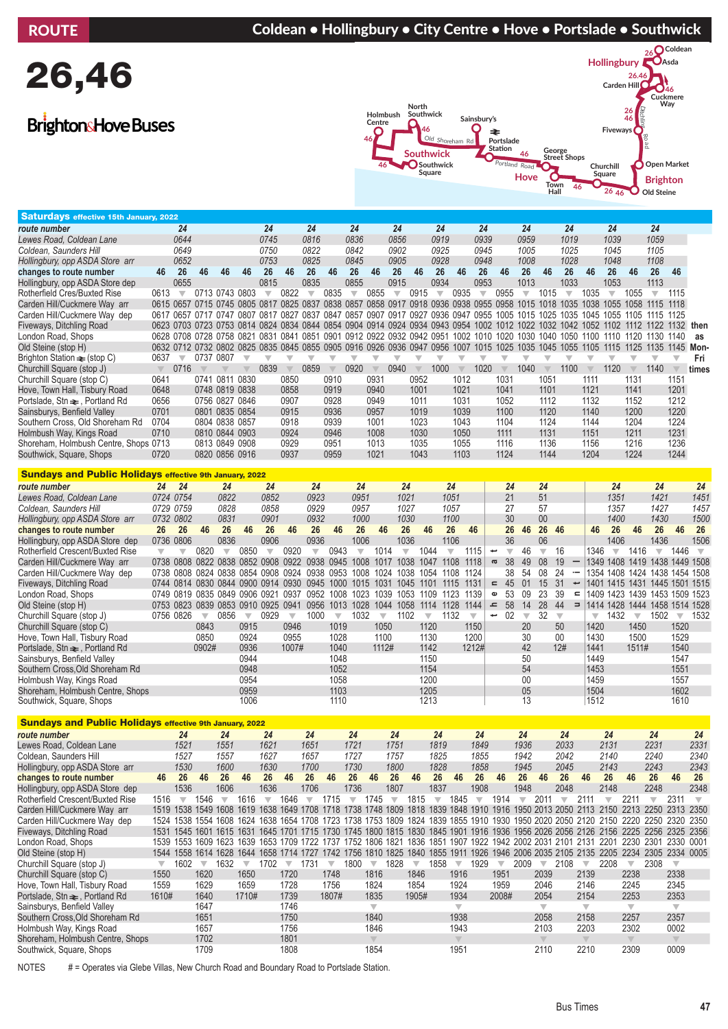### ROUTE **Coldean • Hollingbury • City Centre • Hove • Portslade • Southwick**

# 26,46

## **BrightonsHove Buses**



| <b>Saturdays effective 15th January, 2022</b>                  |                         |                                         |                         |                         |                                                                                                          |                         |                           |                         |                         |                               |                                 |                         |                         |                         |                                 |                         |                              |                         |                          |                                |                         |                                                                                                                                   |                                 |                         |                         |                         |
|----------------------------------------------------------------|-------------------------|-----------------------------------------|-------------------------|-------------------------|----------------------------------------------------------------------------------------------------------|-------------------------|---------------------------|-------------------------|-------------------------|-------------------------------|---------------------------------|-------------------------|-------------------------|-------------------------|---------------------------------|-------------------------|------------------------------|-------------------------|--------------------------|--------------------------------|-------------------------|-----------------------------------------------------------------------------------------------------------------------------------|---------------------------------|-------------------------|-------------------------|-------------------------|
| route number                                                   |                         | 24                                      |                         |                         |                                                                                                          | 24                      |                           | 24                      |                         | 24                            |                                 | 24                      |                         | 24                      |                                 | 24                      |                              | 24                      |                          | 24                             |                         | 24                                                                                                                                |                                 | 24                      |                         |                         |
| Lewes Road, Coldean Lane                                       |                         | 0644                                    |                         |                         |                                                                                                          | 0745                    |                           | 0816                    |                         | 0836                          |                                 | 0856                    |                         | 0919                    |                                 | 0939                    |                              | 0959                    |                          | 1019                           |                         | 1039                                                                                                                              |                                 | 1059                    |                         |                         |
| Coldean, Saunders Hill                                         |                         | 0649                                    |                         |                         |                                                                                                          | 0750                    |                           | 0822                    |                         | 0842                          |                                 | 0902                    |                         | 0925                    |                                 | 0945                    |                              | 1005                    |                          | 1025                           |                         | 1045                                                                                                                              |                                 | 1105                    |                         |                         |
| Hollingbury, opp ASDA Store arr                                |                         | 0652                                    |                         |                         |                                                                                                          | 0753                    |                           | 0825                    |                         | 0845                          |                                 | 0905                    |                         | 0928                    |                                 | 0948                    |                              | 1008                    |                          | 1028                           |                         | 1048                                                                                                                              |                                 | 1108                    |                         |                         |
| changes to route number                                        | 46                      | 26                                      | 46                      | 46                      | 46                                                                                                       | 26                      | 46                        | 26                      | 46                      | 26                            | 46                              | 26                      | 46                      | 26                      | 46                              | 26                      | 46                           | 26                      | 46                       | 26                             | 46                      | 26                                                                                                                                | 46                              | 26                      | 46                      |                         |
| Hollingbury, opp ASDA Store dep                                |                         | 0655                                    |                         |                         |                                                                                                          | 0815                    |                           | 0835                    |                         | 0855                          |                                 | 0915                    |                         | 0934                    |                                 | 0953                    |                              | 1013                    |                          | 1033                           |                         | 1053                                                                                                                              |                                 | 1113                    |                         |                         |
| Rotherfield Cres/Buxted Rise                                   | 0613                    | $\overline{\mathbf{v}}$                 | 0713 0743 0803          |                         |                                                                                                          | $\overline{\mathbf{v}}$ | 0822                      | $\overline{\mathbf{v}}$ | 0835                    | $\overline{\mathbf{v}}$       | 0855                            | $\overline{\mathbf{v}}$ | 0915                    | $\overline{\mathbf{v}}$ | 0935                            | $\overline{\mathbf{v}}$ | 0955                         | $\overline{\mathbf{v}}$ | 1015                     | $\overline{\mathbf{v}}$        | 1035                    | $\overline{\mathbf{v}}$                                                                                                           | 1055                            | $\overline{\mathbf{v}}$ | 1115                    |                         |
| Carden Hill/Cuckmere Way arr                                   |                         |                                         |                         |                         | 0615 0657 0715 0745 0805 0817 0825 0837 0838 0857 0858 0917 0918 0936 0938 0955 0958 1015 1018 1035 1038 |                         |                           |                         |                         |                               |                                 |                         |                         |                         |                                 |                         |                              |                         |                          |                                |                         |                                                                                                                                   | 1055 1058 1115 1118             |                         |                         |                         |
| Carden Hill/Cuckmere Way dep                                   |                         |                                         |                         |                         |                                                                                                          |                         |                           |                         |                         |                               |                                 |                         |                         |                         |                                 |                         |                              |                         |                          |                                |                         | 0617 0657 0717 0747 0807 0817 0827 0837 0847 0857 0907 0917 0927 0936 0947 0955 1005 1015 1025 1035 1045 1055 1105 1115 1125      |                                 |                         |                         |                         |
| Fiveways, Ditchling Road                                       |                         |                                         |                         |                         |                                                                                                          |                         |                           |                         |                         |                               |                                 |                         |                         |                         |                                 |                         |                              |                         |                          |                                |                         | 0623 0703 0723 0753 0814 0824 0834 0844 0854 0904 0914 0924 0934 0943 0954 1002 1012 1022 1032 1042 1052 1102 1112 1122 1132 then |                                 |                         |                         |                         |
| London Road, Shops                                             |                         |                                         |                         |                         | 0628 0708 0728 0758 0821 0831 0841 0851 0901 0912 0922 0932 0942 0951 1002 1010 1020 1030 1040 1050 1100 |                         |                           |                         |                         |                               |                                 |                         |                         |                         |                                 |                         |                              |                         |                          |                                |                         |                                                                                                                                   | 1110 1120 1130 1140             |                         |                         | as                      |
| Old Steine (stop H)                                            |                         |                                         |                         |                         |                                                                                                          |                         |                           |                         |                         |                               |                                 |                         |                         |                         |                                 |                         |                              |                         |                          |                                |                         | 0632 0712 0732 0802 0825 0835 0845 0855 0905 0916 0926 0936 0947 0956 1007 1015 1025 1035 1045 1055 1105 1115 1125 1135 1145 Mon- |                                 |                         |                         |                         |
| Brighton Station $\equiv$ (stop C)                             | 0637                    | $\overline{\mathbf{v}}$                 | 0737 0807               |                         | $\overline{\mathbf{v}}$                                                                                  | $\overline{\mathbb{V}}$ | $\overline{\mathbf{v}}$   | $\overline{\mathbf{v}}$ | $\overline{\mathbb{V}}$ | $\overline{\mathbb{V}}$       | $\overline{\mathbf{v}}$         | $\overline{\mathbf{v}}$ | $\overline{\mathbb{V}}$ | $\overline{\mathbf{v}}$ | $\overline{\mathbf{v}}$         | $\overline{\mathbb{V}}$ | $\overline{\mathbb{V}}$      | $\overline{\mathbb{V}}$ | $\overline{\mathbb{V}}$  | $\overline{\mathbf{v}}$        | $\overline{\mathbf{v}}$ | $\overline{\mathbb{V}}$                                                                                                           | $\overline{\mathbf{v}}$         | $\overline{\mathbb{V}}$ | $\overline{\mathbf{v}}$ | Fri                     |
| Churchill Square (stop J)                                      | $\overline{\mathbb{V}}$ | 0716                                    |                         | $\overline{\mathbb{V}}$ | $\overline{\mathbb{V}}$                                                                                  | 0839                    | $\mathbb {V}$             | 0859                    | $\overline{\mathbb{V}}$ | 0920                          | $\overline{\mathbb{V}}$         | 0940                    | $\mathbb {V}$           | 1000                    | $\mathbb {V}$                   | 1020                    | $\overline{\mathbb{V}}$      | 1040                    | $\mathbb {V}$            | 1100                           | $\overline{\mathbb{V}}$ | 1120                                                                                                                              | $\overline{\mathbb{V}}$         | 1140                    | $\overline{\mathbb{V}}$ | times                   |
| Churchill Square (stop C)                                      | 0641                    |                                         | 0741 0811 0830          |                         |                                                                                                          |                         | 0850                      |                         | 0910                    |                               | 0931                            |                         | 0952                    |                         | 1012                            |                         | 1031                         |                         | 1051                     |                                | 1111                    |                                                                                                                                   | 1131                            |                         | 1151                    |                         |
| Hove, Town Hall, Tisbury Road                                  | 0648                    |                                         |                         | 0748 0819 0838          |                                                                                                          |                         | 0858                      |                         | 0919                    |                               | 0940                            |                         | 1001                    |                         | 1021                            |                         | 1041                         |                         | 1101                     |                                | 1121                    |                                                                                                                                   | 1141                            |                         | 1201                    |                         |
| Portslade, Stn $\equiv$ , Portland Rd                          | 0656                    |                                         | 0756 0827 0846          |                         |                                                                                                          |                         | 0907                      |                         | 0928                    |                               | 0949                            |                         | 1011                    |                         | 1031                            |                         | 1052                         |                         | 1112                     |                                | 1132                    |                                                                                                                                   | 1152                            |                         | 1212                    |                         |
| Sainsburys, Benfield Valley                                    | 0701                    |                                         | 0801 0835 0854          |                         |                                                                                                          |                         | 0915                      |                         | 0936                    |                               | 0957                            |                         | 1019                    |                         | 1039                            |                         | 1100                         |                         | 1120                     |                                | 1140                    |                                                                                                                                   | 1200                            |                         | 1220                    |                         |
| Southern Cross, Old Shoreham Rd                                | 0704                    |                                         |                         | 0804 0838 0857          |                                                                                                          |                         | 0918                      |                         | 0939                    |                               | 1001                            |                         | 1023                    |                         | 1043                            |                         | 1104                         |                         | 1124                     |                                | 1144                    |                                                                                                                                   | 1204                            |                         | 1224                    |                         |
|                                                                | 0710                    |                                         | 0810 0844 0903          |                         |                                                                                                          |                         | 0924                      |                         | 0946                    |                               | 1008                            |                         | 1030                    |                         | 1050                            |                         | 1111                         |                         | 1131                     |                                | 1151                    |                                                                                                                                   | 1211                            |                         | 1231                    |                         |
| Holmbush Way, Kings Road                                       |                         |                                         |                         |                         |                                                                                                          |                         |                           |                         | 0951                    |                               |                                 |                         |                         |                         |                                 |                         |                              |                         |                          |                                |                         |                                                                                                                                   |                                 |                         |                         |                         |
| Shoreham, Holmbush Centre, Shops 0713                          |                         |                                         | 0813 0849 0908          |                         |                                                                                                          |                         | 0929                      |                         |                         |                               | 1013                            |                         | 1035                    |                         | 1055                            |                         | 1116                         |                         | 1136                     |                                | 1156                    |                                                                                                                                   | 1216                            |                         | 1236                    |                         |
| Southwick, Square, Shops                                       | 0720                    |                                         | 0820 0856 0916          |                         |                                                                                                          |                         | 0937                      |                         | 0959                    |                               | 1021                            |                         | 1043                    |                         | 1103                            |                         | 1124                         |                         | 1144                     |                                | 1204                    |                                                                                                                                   | 1224                            |                         | 1244                    |                         |
| <b>Sundays and Public Holidays effective 9th January, 2022</b> |                         |                                         |                         |                         |                                                                                                          |                         |                           |                         |                         |                               |                                 |                         |                         |                         |                                 |                         |                              |                         |                          |                                |                         |                                                                                                                                   |                                 |                         |                         |                         |
| route number                                                   | 24                      | 24                                      |                         | 24                      |                                                                                                          | 24                      |                           | 24                      |                         | 24                            |                                 | 24                      |                         |                         | 24                              |                         | 24                           |                         | 24                       |                                |                         | 24                                                                                                                                |                                 | 24                      |                         | 24                      |
| Lewes Road, Coldean Lane                                       |                         | 0724 0754                               |                         | 0822                    |                                                                                                          | 0852                    |                           | 0923                    |                         | 0951                          |                                 | 1021                    |                         |                         | 1051                            |                         | 21                           |                         | 51                       |                                |                         | 1351                                                                                                                              |                                 | 1421                    |                         | 1451                    |
| Coldean, Saunders Hill                                         |                         | 0729 0759                               |                         | 0828                    |                                                                                                          | 0858                    |                           | 0929                    |                         | 0957                          |                                 | 1027                    |                         |                         | 1057                            |                         | 27                           |                         | 57                       |                                |                         | 1357                                                                                                                              |                                 | 1427                    |                         | 1457                    |
| Hollingbury, opp ASDA Store arr                                |                         | 0732 0802                               |                         | 0831                    |                                                                                                          | 0901                    |                           | 0932                    |                         | 1000                          |                                 | 1030                    |                         |                         | 1100                            |                         | 30                           |                         | 00                       |                                |                         | 1400                                                                                                                              |                                 | 1430                    |                         | 1500                    |
| changes to route number                                        | 26                      | 26                                      | 46                      | 26                      | 46                                                                                                       | 26                      | 46                        | 26                      | 46                      | 26                            | 46                              | 26                      | 46                      |                         | 26                              | 46                      | 26                           | 46                      | 26                       | 46                             | 46                      | 26                                                                                                                                | 46                              | 26                      | 46                      | 26                      |
| Hollingbury, opp ASDA Store dep                                |                         | 0736 0806                               |                         | 0836                    |                                                                                                          | 0906                    |                           | 0936                    |                         | 1006                          |                                 | 1036                    |                         |                         | 1106                            |                         | 36                           |                         | 06                       |                                |                         | 1406                                                                                                                              |                                 | 1436                    |                         | 1506                    |
| Rotherfield Crescent/Buxted Rise                               | $\overline{\mathbf{v}}$ | $\overline{\mathbb{V}}$                 | 0820                    | $\overline{\mathbf{v}}$ | 0850                                                                                                     | $\overline{\mathbf{v}}$ | 0920                      | $\overline{\mathbb{V}}$ | 0943                    | $\overline{\mathbb{V}}$       | 1014                            | $\overline{\mathbf{v}}$ | 1044                    |                         | $\overline{\mathbb{V}}$         | 1115                    | $\overline{\mathbf{v}}$<br>پ | 46                      | $\overline{\mathbf{v}}$  | 16                             | 1346                    | $\overline{\mathbf{v}}$                                                                                                           | 1416                            | $\overline{\mathbb{V}}$ | 1446                    | $\overline{\mathbf{v}}$ |
| Carden Hill/Cuckmere Way arr                                   | 0738                    |                                         | 0808 0822               |                         | 0838 0852 0908 0922 0938                                                                                 |                         |                           |                         | 0945                    | 1008                          |                                 | 1017 1038               | 1047                    |                         | 1108                            | 1118                    | 38<br>a                      | 49                      | 08                       | 19<br>$\qquad \qquad -$        |                         | 1349 1408                                                                                                                         |                                 | 1419 1438 1449 1508     |                         |                         |
| Carden Hill/Cuckmere Way dep                                   |                         |                                         |                         |                         | 0738 0808 0824 0838 0854 0908 0924 0938                                                                  |                         |                           |                         |                         | 0953 1008                     |                                 | 1024 1038               | 1054                    |                         | 1108                            | 1124                    | 38                           | 54                      | 08                       | 24<br>$\overline{a}$           |                         | 1354 1408 1424 1438 1454 1508                                                                                                     |                                 |                         |                         |                         |
| Fiveways, Ditchling Road                                       |                         |                                         |                         |                         | 0744 0814 0830 0844 0900 0914 0930 0945 1000 1015 1031 1045 1101 1115                                    |                         |                           |                         |                         |                               |                                 |                         |                         |                         |                                 | 1131                    | 45<br>$\equiv$               | 01                      | 15                       | 31<br>$\overline{\phantom{0}}$ |                         | 1401 1415 1431 1445 1501 1515                                                                                                     |                                 |                         |                         |                         |
|                                                                |                         |                                         |                         |                         |                                                                                                          |                         |                           |                         |                         |                               |                                 |                         |                         |                         |                                 | 1139                    |                              |                         |                          |                                |                         |                                                                                                                                   |                                 |                         |                         |                         |
|                                                                |                         |                                         |                         |                         |                                                                                                          |                         |                           |                         |                         |                               |                                 |                         |                         |                         |                                 |                         |                              |                         |                          |                                |                         |                                                                                                                                   |                                 |                         |                         |                         |
| London Road, Shops                                             |                         | 0749 0819 0835 0849 0906 0921 0937 0952 |                         |                         |                                                                                                          |                         |                           |                         |                         | 1008 1023                     |                                 | 1039 1053 1109 1123     |                         |                         |                                 |                         | 53<br>$\pmb{\omega}$         | 09                      | 23                       | 39                             | $\mathbf{r}$            | 1409 1423 1439 1453 1509 1523                                                                                                     |                                 |                         |                         |                         |
| Old Steine (stop H)                                            |                         |                                         |                         |                         | 0753 0823 0839 0853 0910 0925 0941 0956                                                                  |                         |                           |                         |                         | 1013 1028 1044 1058 1114 1128 |                                 |                         |                         |                         |                                 | 1144                    | 58<br>$\mathbf{r}$           | 14                      | 28                       | 44                             | $\Rightarrow$           | 1414 1428 1444 1458 1514 1528                                                                                                     |                                 |                         |                         |                         |
| Churchill Square (stop J)                                      |                         | 0756 0826                               | $\overline{\mathbf{v}}$ | 0856                    | $\overline{\mathbf{v}}$                                                                                  | 0929                    | $\overline{\mathbf{v}}$   | 1000                    | $\overline{\mathbf{v}}$ | 1032                          | $\overline{\mathbf{v}}$         | 1102                    | $\overline{\mathbf{v}}$ |                         | 1132                            | $\overline{\mathbf{v}}$ | 02<br>ب                      | $\overline{\mathbf{v}}$ | 32                       | $\overline{\mathbf{v}}$        | $\overline{\mathbb{V}}$ | 1432                                                                                                                              | $\overline{\mathbf{v}}$         | 1502                    | $\overline{\mathbf{v}}$ | 1532                    |
| Churchill Square (stop C)                                      |                         |                                         | 0843                    |                         | 0915                                                                                                     |                         | 0946                      |                         | 1019                    |                               | 1050                            |                         | 1120                    |                         |                                 | 1150                    |                              | 20                      |                          | 50                             | 1420                    |                                                                                                                                   | 1450                            |                         | 1520                    |                         |
| Hove, Town Hall, Tisbury Road                                  |                         |                                         | 0850                    |                         | 0924                                                                                                     |                         | 0955                      |                         | 1028                    |                               | 1100                            |                         | 1130                    |                         |                                 | 1200                    |                              | 30                      |                          | 00                             | 1430                    |                                                                                                                                   | 1500                            |                         | 1529                    |                         |
| Portslade, $\text{Str} \rightleftharpoons$ , Portland Rd       |                         |                                         | 0902#                   |                         | 0936                                                                                                     |                         | 1007#                     |                         | 1040                    |                               | 1112#                           |                         | 1142                    |                         |                                 | 1212#                   |                              | 42                      |                          | 12#                            | 1441                    |                                                                                                                                   | 1511#                           |                         | 1540                    |                         |
| Sainsburys, Benfield Valley                                    |                         |                                         |                         |                         | 0944                                                                                                     |                         |                           |                         | 1048                    |                               |                                 |                         | 1150                    |                         |                                 |                         |                              | 50                      |                          |                                | 1449                    |                                                                                                                                   |                                 |                         | 1547                    |                         |
| Southern Cross, Old Shoreham Rd                                |                         |                                         |                         |                         | 0948                                                                                                     |                         |                           |                         | 1052                    |                               |                                 |                         | 1154                    |                         |                                 |                         |                              | 54                      |                          |                                | 1453                    |                                                                                                                                   |                                 |                         | 1551                    |                         |
| Holmbush Way, Kings Road                                       |                         |                                         |                         |                         | 0954                                                                                                     |                         |                           |                         | 1058                    |                               |                                 |                         | 1200                    |                         |                                 |                         |                              | 00                      |                          |                                | 1459                    |                                                                                                                                   |                                 |                         | 1557                    |                         |
| Shoreham, Holmbush Centre, Shops                               |                         |                                         |                         |                         | 0959                                                                                                     |                         |                           |                         | 1103                    |                               |                                 |                         | 1205                    |                         |                                 |                         |                              | 05                      |                          |                                | 1504                    |                                                                                                                                   |                                 |                         | 1602                    |                         |
| Southwick, Square, Shops                                       |                         |                                         |                         |                         | 1006                                                                                                     |                         |                           |                         | 1110                    |                               |                                 |                         | 1213                    |                         |                                 |                         |                              | 13                      |                          |                                | 1512                    |                                                                                                                                   |                                 |                         | 1610                    |                         |
|                                                                |                         |                                         |                         |                         |                                                                                                          |                         |                           |                         |                         |                               |                                 |                         |                         |                         |                                 |                         |                              |                         |                          |                                |                         |                                                                                                                                   |                                 |                         |                         |                         |
| <b>Sundays and Public Holidays effective 9th January, 2022</b> |                         |                                         |                         |                         |                                                                                                          |                         |                           |                         |                         |                               |                                 |                         |                         |                         |                                 |                         |                              |                         |                          |                                |                         |                                                                                                                                   |                                 |                         |                         |                         |
| route number                                                   |                         | 24                                      |                         | 24                      |                                                                                                          | 24                      |                           | 24                      |                         | 24                            |                                 | 24                      |                         | 24                      |                                 | 24                      |                              | 24                      |                          | 24                             |                         | 24                                                                                                                                |                                 | 24                      |                         | 24                      |
| Lewes Road, Coldean Lane                                       |                         | 1521                                    |                         | 1551                    |                                                                                                          | 1621                    |                           | 1651                    |                         | 1721                          |                                 | 1751                    |                         | 1819                    |                                 | 1849                    |                              | 1936                    |                          | 2033                           |                         | 2131                                                                                                                              |                                 | 2231                    |                         | 2331                    |
| Coldean. Saunders Hill                                         |                         | 1527                                    |                         | 1557                    |                                                                                                          | 1627                    |                           | 1657                    |                         | 1727                          |                                 | 1757                    |                         | 1825                    |                                 | 1855                    |                              | 1942                    |                          | 2042                           |                         | 2140                                                                                                                              |                                 | 2240                    |                         | 2340                    |
| Hollingbury, opp ASDA Store arr                                |                         | 1530                                    |                         | 1600                    |                                                                                                          | 1630                    |                           | 1700                    |                         | 1730                          |                                 | 1800                    |                         | 1828                    |                                 | 1858                    |                              | 1945                    |                          | 2045                           |                         | 2143                                                                                                                              |                                 | 2243                    |                         | 2343                    |
| changes to route number                                        | 46                      | 26                                      | 46                      | 26                      | 46                                                                                                       | 26                      | 46                        | 26                      | 46                      | 26                            | 46                              | 26                      | 46                      | 26                      | 46                              | 26                      | 46                           | 26                      | 46                       | 26                             | 46                      | 26                                                                                                                                | 46                              | 26                      | 46                      | 26                      |
| Hollingbury, opp ASDA Store dep                                |                         | 1536                                    |                         | 1606                    |                                                                                                          | 1636                    |                           | 1706                    |                         | 1736                          |                                 | 1807                    |                         | 1837                    |                                 | 1908                    |                              | 1948                    |                          | 2048                           |                         | 2148                                                                                                                              |                                 | 2248                    |                         | 2348                    |
| Rotherfield Crescent/Buxted Rise                               | 1516                    | $\overline{\mathbf{v}}$                 | 1546                    | $\overline{\mathbf{v}}$ | 1616                                                                                                     | $\overline{\mathbf{v}}$ | 1646                      | $\overline{\mathbf{v}}$ | 1715                    | $\overline{\mathbf{v}}$       | 1745                            | $\overline{\mathbf{v}}$ | 1815                    | $\overline{\mathbf{v}}$ | 1845                            | $\overline{\nabla}$     | 1914                         | $\overline{\mathbf{v}}$ | 2011                     | $\overline{\nabla}$            | 2111                    | $\overline{\mathbf{v}}$                                                                                                           | 2211                            | $\overline{\mathbf{v}}$ | 2311                    | $\overline{\mathbf{v}}$ |
| Carden Hill/Cuckmere Way arr                                   |                         |                                         |                         |                         |                                                                                                          |                         |                           |                         |                         |                               |                                 |                         |                         |                         |                                 |                         |                              |                         |                          |                                |                         | 1519 1538 1549 1608 1619 1638 1649 1708 1718 1738 1748 1809 1818 1839 1848 1910 1916 1950 2013 2050 2113 2150 2213 2250 2313 2350 |                                 |                         |                         |                         |
| Carden Hill/Cuckmere Way dep                                   |                         |                                         |                         |                         |                                                                                                          |                         |                           |                         |                         |                               |                                 |                         |                         |                         |                                 |                         |                              |                         |                          |                                |                         | 1524 1538 1554 1608 1624 1638 1654 1708 1723 1738 1753 1809 1824 1839 1855 1910 1930 1950 2020 2050 2120 2150 2220 2250 2320 2350 |                                 |                         |                         |                         |
| Fiveways, Ditchling Road                                       |                         |                                         |                         |                         |                                                                                                          |                         |                           |                         |                         |                               |                                 |                         |                         |                         |                                 |                         |                              |                         |                          |                                |                         | 1531 1545 1601 1615 1631 1645 1701 1715 1730 1745 1800 1815 1830 1845 1901 1916 1936 1956 2026 2056 2126 2156 2225 2256 2325 2356 |                                 |                         |                         |                         |
| London Road, Shops                                             |                         |                                         |                         |                         |                                                                                                          |                         |                           |                         |                         |                               |                                 |                         |                         |                         |                                 |                         |                              |                         |                          |                                |                         | 1539 1553 1609 1623 1639 1653 1709 1722 1737 1752 1806 1821 1836 1851 1907 1922 1942 2002 2031 2101 2131 2201 2230 2301 2330 0001 |                                 |                         |                         |                         |
| Old Steine (stop H)                                            |                         |                                         |                         |                         |                                                                                                          |                         |                           |                         |                         |                               |                                 |                         |                         |                         |                                 |                         |                              |                         |                          |                                |                         | 1544 1558 1614 1628 1644 1658 1714 1727 1742 1756 1810 1825 1840 1855 1911 1926 1946 2006 2035 2105 2135 2205 2234 2305 2334 0005 |                                 |                         |                         |                         |
|                                                                | $\overline{\mathbf{v}}$ | 1602                                    | $\overline{\mathbf{v}}$ | 1632                    | $\overline{\mathbf{v}}$                                                                                  |                         | $1702 \times 1731 \times$ |                         |                         | 1800                          | $\overline{\mathbf{v}}$         | 1828                    | $\overline{\mathbf{v}}$ | 1858                    | $\overline{\phantom{a}}$        | 1929                    | $\overline{\mathbf{v}}$      | 2009                    | $\overline{\phantom{a}}$ | 2108                           | $\overline{\mathbf{v}}$ | 2208                                                                                                                              | $\overline{\mathbf{v}}$         | 2308                    | $\overline{\mathbf{v}}$ |                         |
| Churchill Square (stop J)<br>Churchill Square (stop C)         | 1550                    |                                         | 1620                    |                         | 1650                                                                                                     |                         |                           |                         | 1748                    |                               | 1816                            |                         | 1846                    |                         | 1916                            |                         | 1951                         |                         | 2039                     |                                | 2139                    |                                                                                                                                   | 2238                            |                         | 2338                    |                         |
| Hove, Town Hall, Tisbury Road                                  | 1559                    |                                         | 1629                    |                         | 1659                                                                                                     |                         | 1720<br>1728              |                         | 1756                    |                               | 1824                            |                         | 1854                    |                         | 1924                            |                         | 1959                         |                         | 2046                     |                                | 2146                    |                                                                                                                                   | 2245                            |                         | 2345                    |                         |
| Portslade, Stn $\equiv$ , Portland Rd                          | 1610#                   |                                         | 1640                    |                         |                                                                                                          |                         |                           |                         | 1807#                   |                               | 1835                            |                         | 1905#                   |                         | 1934                            |                         | 2008#                        |                         | 2054                     |                                | 2154                    |                                                                                                                                   | 2253                            |                         | 2353                    |                         |
|                                                                |                         |                                         |                         |                         | 1710#                                                                                                    |                         | 1739                      |                         |                         |                               | $\overline{\mathbf{v}}$         |                         |                         |                         | $\overline{\mathbf{v}}$         |                         |                              |                         | $\overline{\mathbf{v}}$  |                                | $\overline{\mathbf{v}}$ |                                                                                                                                   | $\overline{\mathbf{v}}$         |                         | $\overline{\mathbf{v}}$ |                         |
| Sainsburys, Benfield Valley                                    |                         |                                         | 1647                    |                         |                                                                                                          |                         | 1746                      |                         |                         |                               |                                 |                         |                         |                         |                                 |                         |                              |                         |                          |                                |                         |                                                                                                                                   |                                 |                         |                         |                         |
| Southern Cross, Old Shoreham Rd                                |                         |                                         | 1651                    |                         |                                                                                                          |                         | 1750                      |                         |                         |                               | 1840                            |                         |                         |                         | 1938                            |                         |                              |                         | 2058                     |                                | 2158                    |                                                                                                                                   | 2257                            |                         | 2357                    |                         |
| Holmbush Way, Kings Road                                       |                         |                                         | 1657                    |                         |                                                                                                          |                         | 1756                      |                         |                         |                               | 1846                            |                         |                         |                         | 1943                            |                         |                              |                         | 2103                     |                                | 2203                    |                                                                                                                                   | 2302<br>$\overline{\mathbb{V}}$ |                         | 0002                    |                         |
| Shoreham, Holmbush Centre, Shops<br>Southwick, Square, Shops   |                         |                                         | 1702<br>1709            |                         |                                                                                                          |                         | 1801<br>1808              |                         |                         |                               | $\overline{\mathbb{V}}$<br>1854 |                         |                         |                         | $\overline{\mathbb{V}}$<br>1951 |                         |                              |                         | $\mathbb {V}$<br>2110    |                                | $\mathbb {V}$<br>2210   |                                                                                                                                   | 2309                            |                         | $\mathbb {V}$<br>0009   |                         |

NOTES # = Operates via Glebe Villas, New Church Road and Boundary Road to Portslade Station.